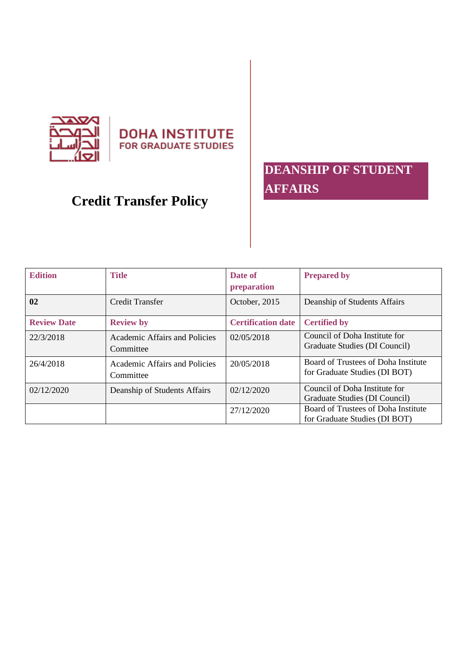

**DOHA INSTITUTE** FOR GRADUATE STUDIES

## **DEANSHIP OF STUDENT AFFAIRS**

# **Credit Transfer Policy**

| <b>Edition</b>     | <b>Title</b>                               | Date of<br>preparation    | <b>Prepared by</b>                                                   |
|--------------------|--------------------------------------------|---------------------------|----------------------------------------------------------------------|
| 02                 | Credit Transfer                            | October, 2015             | Deanship of Students Affairs                                         |
| <b>Review Date</b> | <b>Review by</b>                           | <b>Certification date</b> | <b>Certified by</b>                                                  |
| 22/3/2018          | Academic Affairs and Policies<br>Committee | 02/05/2018                | Council of Doha Institute for<br>Graduate Studies (DI Council)       |
| 26/4/2018          | Academic Affairs and Policies<br>Committee | 20/05/2018                | Board of Trustees of Doha Institute<br>for Graduate Studies (DI BOT) |
| 02/12/2020         | Deanship of Students Affairs               | 02/12/2020                | Council of Doha Institute for<br>Graduate Studies (DI Council)       |
|                    |                                            | 27/12/2020                | Board of Trustees of Doha Institute<br>for Graduate Studies (DI BOT) |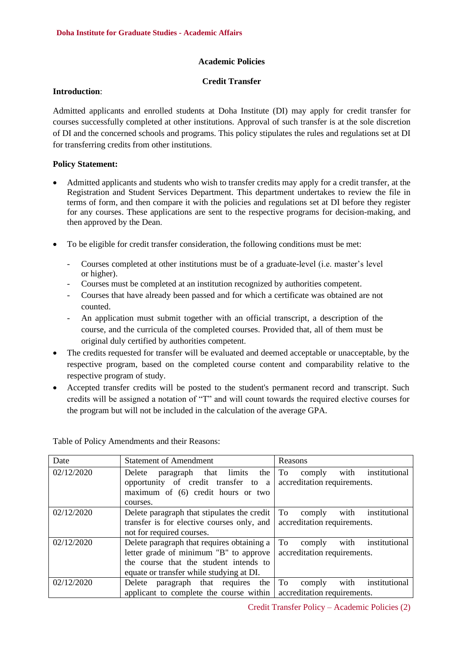#### **Academic Policies**

#### **Credit Transfer**

#### **Introduction**:

Admitted applicants and enrolled students at Doha Institute (DI) may apply for credit transfer for courses successfully completed at other institutions. Approval of such transfer is at the sole discretion of DI and the concerned schools and programs. This policy stipulates the rules and regulations set at DI for transferring credits from other institutions .

### **Policy Statement:**

- Admitted applicants and students who wish to transfer credits may apply for a credit transfer, at the Registration and Student Services Department. This department undertakes to review the file in terms of form, and then compare it with the policies and regulations set at DI before they register for any courses. These applications are sent to the respective programs for decision-making, and then approved by the Dean.
- To be eligible for credit transfer consideration, the following conditions must be met:
	- Courses completed at other institutions must be of a graduate-level (i.e. master's level or higher).
	- Courses must be completed at an institution recognized by authorities competent.
	- Courses that have already been passed and for which a certificate was obtained are not counted.
	- An application must submit together with an official transcript, a description of the course, and the curricula of the completed courses. Provided that, all of them must be original duly certified by authorities competent .
- The credits requested for transfer will be evaluated and deemed acceptable or unacceptable, by the respective program, based on the completed course content and comparability relative to the respective program of study.
- Accepted transfer credits will be posted to the student's permanent record and transcript. Such credits will be assigned a notation of "T" and will count towards the required elective courses for the program but will not be included in the calculation of the average GPA.

Table of Policy Amendments and their Reasons:

| Date       | <b>Statement of Amendment</b>                                       | Reasons                               |  |
|------------|---------------------------------------------------------------------|---------------------------------------|--|
| 02/12/2020 | paragraph that limits<br>the<br>Delete                              | institutional<br>with<br>To<br>comply |  |
|            | opportunity of credit transfer to a                                 | accreditation requirements.           |  |
|            | maximum of (6) credit hours or two                                  |                                       |  |
|            | courses.                                                            |                                       |  |
| 02/12/2020 | Delete paragraph that stipulates the credit                         | To<br>with<br>institutional<br>comply |  |
|            | transfer is for elective courses only, and                          | accreditation requirements.           |  |
|            | not for required courses.                                           |                                       |  |
| 02/12/2020 | Delete paragraph that requires obtaining a                          | To<br>institutional<br>with<br>comply |  |
|            | letter grade of minimum "B" to approve                              | accreditation requirements.           |  |
|            | the course that the student intends to                              |                                       |  |
|            | equate or transfer while studying at DI.                            |                                       |  |
| 02/12/2020 | paragraph that requires the<br>Delete                               | To<br>with<br>institutional<br>comply |  |
|            | applicant to complete the course within accreditation requirements. |                                       |  |

Credit Transfer Policy – Academic Policies (2)